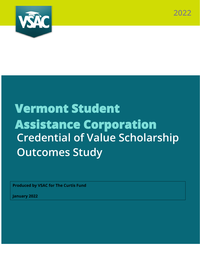

# **Vermont Student Assistance Corporation Credential of Value Scholarship Outcomes Study**

**Produced by VSAC for The Curtis Fund**

**January 2022**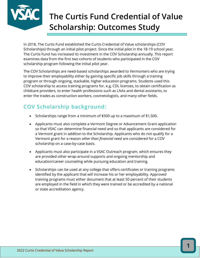

## **The Curtis Fund Credential of Value Scholarship: Outcomes Study**

In 2018, The Curtis Fund established the Curtis Credential of Value scholarships (COV Scholarships) through an initial pilot project. Since the initial pilot in the 18-19 school year, The Curtis Fund has increased its investment in the COV Scholarship annually. This report examines data from the first two cohorts of students who participated in the COV scholarship program following the initial pilot year.

The COV Scholarships are need-based scholarships awarded to Vermonters who are trying to improve their employability either by gaining specific job skills through a training program or through ongoing, stackable, higher education programs. Students used this COV scholarship to access training programs for, e.g, CDL licenses, to obtain certification as childcare providers, to enter health professions such as LNAs and dental assistants, to enter the trades as construction workers, cosmetologists, and many other fields.

## **COV Scholarship background:**

- Scholarships range from a minimum of \$500 up to a maximum of \$1,500.
- Applicants must also complete a Vermont Degree or Advancement Grant application so that VSAC can determine financial need and so that applicants are considered for a Vermont grant in addition to the Scholarship. Applicants who do not qualify for a Vermont grant for a reason *other than financial need* are considered for a COV scholarship on a case-by-case basis.
- Applicants must also participate in a VSAC Outreach program, which ensures they are provided other wrap-around supports and ongoing mentorship and education/career counseling while pursuing education and training.
- Scholarships can be used at any college that offers certificates or training programs identified by the applicant that will increase his or her employability. Approved training programs must either document that at least 50 percent of their students are employed in the field in which they were trained or be accredited by a national or state accreditation agency.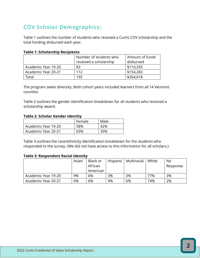## **COV Scholar Demographics:**

Table 1 outlines the number of students who received a Curtis COV scholarship and the total funding disbursed each year.

#### **Table 1: Scholarship Recipients**

|                     | Number of students who | Amount of funds |
|---------------------|------------------------|-----------------|
|                     | received a scholarship | disbursed       |
| Academic Year 19-20 | 83                     | \$110,335       |
| Academic Year 20-21 | 112                    | \$154,283       |
| Fotal               | 195                    | \$264,618       |

The program seeks diversity. Both cohort years included learners from all 14 Vermont counties.

Table 2 outlines the gender identification breakdown for all students who received a scholarship award.

#### **Table 2: Scholar Gender Identity**

|                     | Female | Male |
|---------------------|--------|------|
| Academic Year 19-20 | 58%    | 42%  |
| Academic Year 20-21 | 65%    | 35%  |

Table 3 outlines the race/ethnicity identification breakdown for the students who responded to the survey. (We did not have access to this information for all scholars.)

#### **Table 3: Respondent Racial Identity**

|                     | Asian | Black or<br>African<br>American | Hispanic | Multiracial | White | No.<br>Response |
|---------------------|-------|---------------------------------|----------|-------------|-------|-----------------|
| Academic Year 19-20 | 9%    | 6%                              | 3%       | 3%          | 77%   | 3%              |
| Academic Year 20-21 | 6%    | 6%                              | 4%       | 6%          | 74%   | 2%              |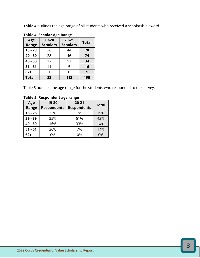**Table 4** outlines the age range of all students who received a scholarship award.

| Age          | 19-20           | $20 - 21$       | <b>Total</b> |  |
|--------------|-----------------|-----------------|--------------|--|
| Range        | <b>Scholars</b> | <b>Scholars</b> |              |  |
| $18 - 28$    | 26              | 44              | 70           |  |
| $29 - 39$    | 28              | 46              | 74           |  |
| $40 - 50$    | 17              | 17              | 34           |  |
| $51 - 61$    | 11              | 5               | 16           |  |
| $62+$        |                 |                 |              |  |
| <b>Total</b> | 83              | 112             | 195          |  |

Table 5 outlines the age range for the students who responded to the survey.

**Table 5: Respondent age range**

| Age<br>Range | 19-20<br><b>Respondents</b> | $20 - 21$<br><b>Respondents</b> | <b>Total</b> |
|--------------|-----------------------------|---------------------------------|--------------|
| $18 - 28$    | 23%                         | 19%                             | 19%          |
| $29 - 39$    | 35%                         | 51%                             | 42%          |
| $40 - 50$    | 16%                         | 33%                             | 24%          |
| $51 - 61$    | 26%                         | 7%                              | 14%          |
| 62+          | 0%                          | 0%                              | 0%           |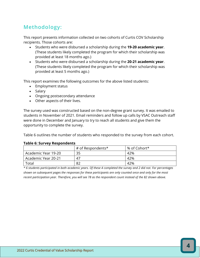## **Methodology:**

This report presents information collected on two cohorts of Curtis COV Scholarship recipients. Those cohorts are:

- Students who were disbursed a scholarship during the **19-20 academic year**. (These students likely completed the program for which their scholarship was provided at least 18 months ago.)
- Students who were disbursed a scholarship during the **20-21 academic year**. (These students likely completed the program for which their scholarship was provided at least 5 months ago.)

This report examines the following outcomes for the above listed students:

- Employment status
- Salary
- Ongoing postsecondary attendance
- Other aspects of their lives.

The survey used was constructed based on the non-degree grant survey. It was emailed to students in November of 2021. Email reminders and follow up calls by VSAC Outreach staff were done in December and January to try to reach all students and give them the opportunity to complete the survey.

Table 6 outlines the number of students who responded to the survey from each cohort.

#### **Table 6: Survey Respondents**

|                     | # of Respondents* | % of Cohort* |
|---------------------|-------------------|--------------|
| Academic Year 19-20 | 35                | 42%          |
| Academic Year 20-21 | 47                | 42%          |
| Total               | 82                | 42%          |

*\* 6 students participated in both academic years. Of these 4 completed the survey and 2 did not. For percentages shown on subsequent pages the responses for these participants are only counted once and only for the most recent participation year. Therefore, you will see 78 as the respondent count instead of the 82 shown above.*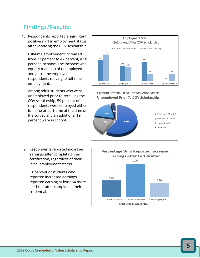#### **Findings/Results :**

1. Respondents reported a significant positive shift in employment status after receiving the COV scholarship.

Full -time employment increased from 37 percent to 47 percent, a 10 percent increase. The increase was equally made up of unemployed and part -time employed respondents moving to full -time employment.

Among adult students who were unemployed prior to receiving the COV scholarship, 59 percent of respondents were employed either full -time or part -time at the time of the survey and an additional 19 percent were in school.

2. Respondents reported increased earnings after completing their certification, regardless of their initial employment status.

51 percent of students who reported increased earnings reported earning at least \$4 more per hour after completing their credential.







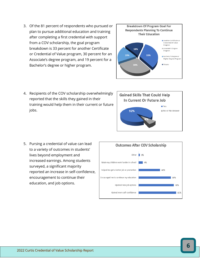3. Of the 81 percent of respondents who pursued or plan to pursue additional education and training after completing a first credential with support from a COV scholarship, the goal program breakdown is 33 percent for another Certificate or Credential of Value program, 30 percent for an Associate's degree program, and 19 percent for a Bachelor's degree or higher program.



4. Recipients of the COV scholarship overwhelmingly reported that the skills they gained in their training would help them in their current or future jobs.



5. Pursing a credential of value can lead to a variety of outcomes in students' lives beyond employment and increased earnings. Among students surveyed, a significant majority reported an increase in self-confidence, encouragement to continue their education, and job options.

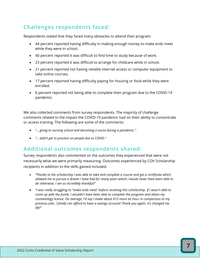## **Challenges respondents faced:**

Respondents stated that they faced many obstacles to attend their program:

- 44 percent reported having difficulty in making enough money to make ends meet while they were in school.
- 40 percent reported it was difficult to find time to study because of work.
- 23 percent reported it was difficult to arrange for childcare while in school.
- 21 percent reported not having reliable internet access or computer equipment to take online courses.
- 17 percent reported having difficulty paying for housing or food while they were enrolled.
- 6 percent reported not being able to complete their program due to the COVID-19 pandemic.

We also collected comments from survey respondents. The majority of challenge comments related to the impact the COVID-19 pandemic had on their ability to concentrate or access training. The following are some of the comments:

- *"… going to nursing school and becoming a nurse during a pandemic."*
- *"… didn't get to practice on people due to COVID."*

#### **Additional outcomes respondents shared:**

Survey respondents also commented on the outcomes they experienced that were not necessarily what we were primarily measuring. Outcomes experienced by COV Scholarship recipients in addition to the skills gained included:

- *"Thanks to the scholarship I was able to take and complete a course and get a certificate which allowed me to pursue a dream I have had for many years which I would never have been able to do otherwise. I am so incredibly thankful!"*
- *"I was really struggling to "make ends meet" before receiving this scholarship. If I wasn't able to come up with the funds, I wouldn't have been able to complete the program and attain my cosmetology license. On average, I'd say I make about \$15 more an hour in comparison to my previous jobs. I finally can afford to have a savings account! Thank you again, it's changed my life!"*